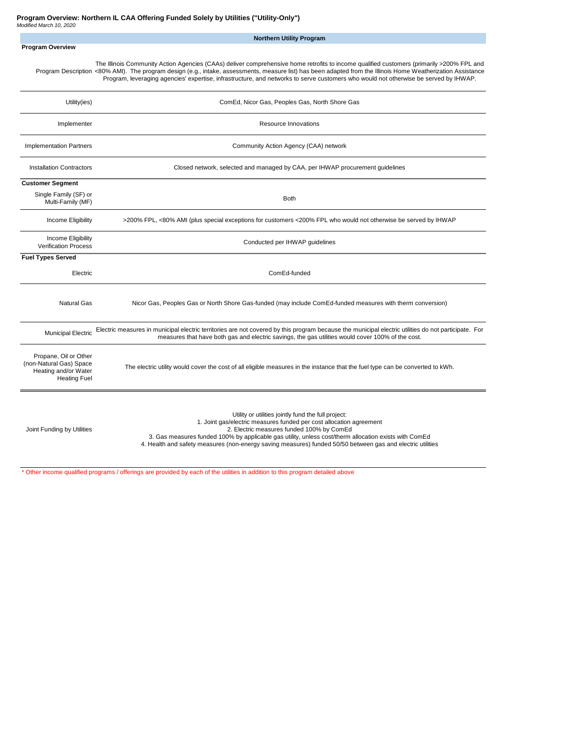|                                                                                                 | <b>Northern Utility Program</b>                                                                                                                                                                                                                                                                                                                                                                                                                    |
|-------------------------------------------------------------------------------------------------|----------------------------------------------------------------------------------------------------------------------------------------------------------------------------------------------------------------------------------------------------------------------------------------------------------------------------------------------------------------------------------------------------------------------------------------------------|
| <b>Program Overview</b>                                                                         |                                                                                                                                                                                                                                                                                                                                                                                                                                                    |
|                                                                                                 | The Illinois Community Action Agencies (CAAs) deliver comprehensive home retrofits to income qualified customers (primarily >200% FPL and<br>Program Description <80% AMI). The program design (e.g., intake, assessments, measure list) has been adapted from the Illinois Home Weatherization Assistance<br>Program, leveraging agencies' expertise, infrastructure, and networks to serve customers who would not otherwise be served by IHWAP. |
| Utility(ies)                                                                                    | ComEd, Nicor Gas, Peoples Gas, North Shore Gas                                                                                                                                                                                                                                                                                                                                                                                                     |
| Implementer                                                                                     | Resource Innovations                                                                                                                                                                                                                                                                                                                                                                                                                               |
| <b>Implementation Partners</b>                                                                  | Community Action Agency (CAA) network                                                                                                                                                                                                                                                                                                                                                                                                              |
| <b>Installation Contractors</b>                                                                 | Closed network, selected and managed by CAA, per IHWAP procurement guidelines                                                                                                                                                                                                                                                                                                                                                                      |
| <b>Customer Segment</b>                                                                         |                                                                                                                                                                                                                                                                                                                                                                                                                                                    |
| Single Family (SF) or<br>Multi-Family (MF)                                                      | <b>Both</b>                                                                                                                                                                                                                                                                                                                                                                                                                                        |
| Income Eligibility                                                                              | >200% FPL, <80% AMI (plus special exceptions for customers <200% FPL who would not otherwise be served by IHWAP                                                                                                                                                                                                                                                                                                                                    |
| Income Eligibility<br><b>Verification Process</b>                                               | Conducted per IHWAP guidelines                                                                                                                                                                                                                                                                                                                                                                                                                     |
| <b>Fuel Types Served</b>                                                                        |                                                                                                                                                                                                                                                                                                                                                                                                                                                    |
| Electric                                                                                        | ComEd-funded                                                                                                                                                                                                                                                                                                                                                                                                                                       |
| Natural Gas                                                                                     | Nicor Gas, Peoples Gas or North Shore Gas-funded (may include ComEd-funded measures with therm conversion)                                                                                                                                                                                                                                                                                                                                         |
| <b>Municipal Electric</b>                                                                       | Electric measures in municipal electric territories are not covered by this program because the municipal electric utilities do not participate. For<br>measures that have both gas and electric savings, the gas utilities would cover 100% of the cost.                                                                                                                                                                                          |
| Propane, Oil or Other<br>(non-Natural Gas) Space<br>Heating and/or Water<br><b>Heating Fuel</b> | The electric utility would cover the cost of all eligible measures in the instance that the fuel type can be converted to kWh.                                                                                                                                                                                                                                                                                                                     |
| Joint Funding by Utilities                                                                      | Utility or utilities jointly fund the full project:<br>1. Joint gas/electric measures funded per cost allocation agreement<br>2. Electric measures funded 100% by ComEd<br>3. Gas measures funded 100% by applicable gas utility, unless cost/therm allocation exists with ComEd<br>4. Health and safety measures (non-energy saving measures) funded 50/50 between gas and electric utilities                                                     |

\* Other income qualified programs / offerings are provided by each of the utilities in addition to this program detailed above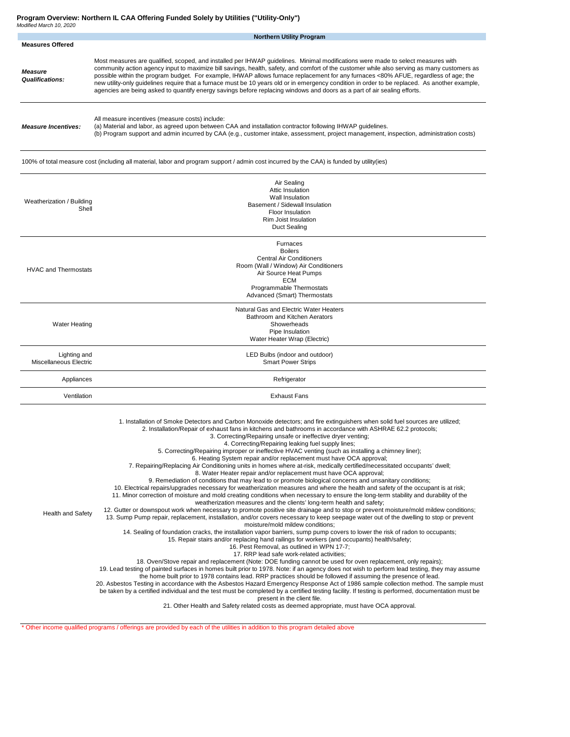**Program Overview: Northern IL CAA Offering Funded Solely by Utilities ("Utility-Only")**

| Modified March 10, 2020                  | <b>Northern Utility Program</b>                                                                                                                                                                                                                                                                                                                                                                                                                                                                                                                                                                                                                                                                                                                                                                                                                                                                                                                                                                                                                                                                                                                                                                                                                                                                                                                                                                                                                                                                                                                                                                                                                                                                                                                                                                                                                                                                                                                                                                                                                                                                                                                                                                                                                                                                                                                                                                                                                                                                                                                                                                                                                                              |  |  |  |  |  |  |  |  |  |
|------------------------------------------|------------------------------------------------------------------------------------------------------------------------------------------------------------------------------------------------------------------------------------------------------------------------------------------------------------------------------------------------------------------------------------------------------------------------------------------------------------------------------------------------------------------------------------------------------------------------------------------------------------------------------------------------------------------------------------------------------------------------------------------------------------------------------------------------------------------------------------------------------------------------------------------------------------------------------------------------------------------------------------------------------------------------------------------------------------------------------------------------------------------------------------------------------------------------------------------------------------------------------------------------------------------------------------------------------------------------------------------------------------------------------------------------------------------------------------------------------------------------------------------------------------------------------------------------------------------------------------------------------------------------------------------------------------------------------------------------------------------------------------------------------------------------------------------------------------------------------------------------------------------------------------------------------------------------------------------------------------------------------------------------------------------------------------------------------------------------------------------------------------------------------------------------------------------------------------------------------------------------------------------------------------------------------------------------------------------------------------------------------------------------------------------------------------------------------------------------------------------------------------------------------------------------------------------------------------------------------------------------------------------------------------------------------------------------------|--|--|--|--|--|--|--|--|--|
| <b>Measures Offered</b>                  |                                                                                                                                                                                                                                                                                                                                                                                                                                                                                                                                                                                                                                                                                                                                                                                                                                                                                                                                                                                                                                                                                                                                                                                                                                                                                                                                                                                                                                                                                                                                                                                                                                                                                                                                                                                                                                                                                                                                                                                                                                                                                                                                                                                                                                                                                                                                                                                                                                                                                                                                                                                                                                                                              |  |  |  |  |  |  |  |  |  |
| <b>Measure</b><br><b>Qualifications:</b> | Most measures are qualified, scoped, and installed per IHWAP guidelines. Minimal modifications were made to select measures with<br>community action agency input to maximize bill savings, health, safety, and comfort of the customer while also serving as many customers as<br>possible within the program budget. For example, IHWAP allows furnace replacement for any furnaces <80% AFUE, regardless of age; the<br>new utility-only guidelines require that a furnace must be 10 years old or in emergency condition in order to be replaced. As another example,<br>agencies are being asked to quantify energy savings before replacing windows and doors as a part of air sealing efforts.                                                                                                                                                                                                                                                                                                                                                                                                                                                                                                                                                                                                                                                                                                                                                                                                                                                                                                                                                                                                                                                                                                                                                                                                                                                                                                                                                                                                                                                                                                                                                                                                                                                                                                                                                                                                                                                                                                                                                                        |  |  |  |  |  |  |  |  |  |
| <b>Measure Incentives:</b>               | All measure incentives (measure costs) include:<br>(a) Material and labor, as agreed upon between CAA and installation contractor following IHWAP guidelines.<br>(b) Program support and admin incurred by CAA (e.g., customer intake, assessment, project management, inspection, administration costs)                                                                                                                                                                                                                                                                                                                                                                                                                                                                                                                                                                                                                                                                                                                                                                                                                                                                                                                                                                                                                                                                                                                                                                                                                                                                                                                                                                                                                                                                                                                                                                                                                                                                                                                                                                                                                                                                                                                                                                                                                                                                                                                                                                                                                                                                                                                                                                     |  |  |  |  |  |  |  |  |  |
|                                          | 100% of total measure cost (including all material, labor and program support / admin cost incurred by the CAA) is funded by utility(ies)                                                                                                                                                                                                                                                                                                                                                                                                                                                                                                                                                                                                                                                                                                                                                                                                                                                                                                                                                                                                                                                                                                                                                                                                                                                                                                                                                                                                                                                                                                                                                                                                                                                                                                                                                                                                                                                                                                                                                                                                                                                                                                                                                                                                                                                                                                                                                                                                                                                                                                                                    |  |  |  |  |  |  |  |  |  |
| Weatherization / Building<br>Shell       | Air Sealing<br>Attic Insulation<br>Wall Insulation<br>Basement / Sidewall Insulation<br>Floor Insulation<br>Rim Joist Insulation<br>Duct Sealing                                                                                                                                                                                                                                                                                                                                                                                                                                                                                                                                                                                                                                                                                                                                                                                                                                                                                                                                                                                                                                                                                                                                                                                                                                                                                                                                                                                                                                                                                                                                                                                                                                                                                                                                                                                                                                                                                                                                                                                                                                                                                                                                                                                                                                                                                                                                                                                                                                                                                                                             |  |  |  |  |  |  |  |  |  |
| <b>HVAC and Thermostats</b>              | Furnaces<br><b>Boilers</b><br><b>Central Air Conditioners</b><br>Room (Wall / Window) Air Conditioners<br>Air Source Heat Pumps<br><b>ECM</b><br>Programmable Thermostats<br>Advanced (Smart) Thermostats                                                                                                                                                                                                                                                                                                                                                                                                                                                                                                                                                                                                                                                                                                                                                                                                                                                                                                                                                                                                                                                                                                                                                                                                                                                                                                                                                                                                                                                                                                                                                                                                                                                                                                                                                                                                                                                                                                                                                                                                                                                                                                                                                                                                                                                                                                                                                                                                                                                                    |  |  |  |  |  |  |  |  |  |
| <b>Water Heating</b>                     | Natural Gas and Electric Water Heaters<br>Bathroom and Kitchen Aerators<br>Showerheads<br>Pipe Insulation<br>Water Heater Wrap (Electric)                                                                                                                                                                                                                                                                                                                                                                                                                                                                                                                                                                                                                                                                                                                                                                                                                                                                                                                                                                                                                                                                                                                                                                                                                                                                                                                                                                                                                                                                                                                                                                                                                                                                                                                                                                                                                                                                                                                                                                                                                                                                                                                                                                                                                                                                                                                                                                                                                                                                                                                                    |  |  |  |  |  |  |  |  |  |
| Lighting and<br>Miscellaneous Electric   | LED Bulbs (indoor and outdoor)<br><b>Smart Power Strips</b>                                                                                                                                                                                                                                                                                                                                                                                                                                                                                                                                                                                                                                                                                                                                                                                                                                                                                                                                                                                                                                                                                                                                                                                                                                                                                                                                                                                                                                                                                                                                                                                                                                                                                                                                                                                                                                                                                                                                                                                                                                                                                                                                                                                                                                                                                                                                                                                                                                                                                                                                                                                                                  |  |  |  |  |  |  |  |  |  |
| Appliances                               | Refrigerator                                                                                                                                                                                                                                                                                                                                                                                                                                                                                                                                                                                                                                                                                                                                                                                                                                                                                                                                                                                                                                                                                                                                                                                                                                                                                                                                                                                                                                                                                                                                                                                                                                                                                                                                                                                                                                                                                                                                                                                                                                                                                                                                                                                                                                                                                                                                                                                                                                                                                                                                                                                                                                                                 |  |  |  |  |  |  |  |  |  |
| Ventilation                              | <b>Exhaust Fans</b>                                                                                                                                                                                                                                                                                                                                                                                                                                                                                                                                                                                                                                                                                                                                                                                                                                                                                                                                                                                                                                                                                                                                                                                                                                                                                                                                                                                                                                                                                                                                                                                                                                                                                                                                                                                                                                                                                                                                                                                                                                                                                                                                                                                                                                                                                                                                                                                                                                                                                                                                                                                                                                                          |  |  |  |  |  |  |  |  |  |
| <b>Health and Safety</b>                 | 1. Installation of Smoke Detectors and Carbon Monoxide detectors; and fire extinguishers when solid fuel sources are utilized;<br>2. Installation/Repair of exhaust fans in kitchens and bathrooms in accordance with ASHRAE 62.2 protocols;<br>3. Correcting/Repairing unsafe or ineffective dryer venting;<br>4. Correcting/Repairing leaking fuel supply lines;<br>5. Correcting/Repairing improper or ineffective HVAC venting (such as installing a chimney liner);<br>6. Heating System repair and/or replacement must have OCA approval;<br>7. Repairing/Replacing Air Conditioning units in homes where at-risk, medically certified/necessitated occupants' dwell;<br>8. Water Heater repair and/or replacement must have OCA approval;<br>9. Remediation of conditions that may lead to or promote biological concerns and unsanitary conditions;<br>10. Electrical repairs/upgrades necessary for weatherization measures and where the health and safety of the occupant is at risk;<br>11. Minor correction of moisture and mold creating conditions when necessary to ensure the long-term stability and durability of the<br>weatherization measures and the clients' long-term health and safety;<br>12. Gutter or downspout work when necessary to promote positive site drainage and to stop or prevent moisture/mold mildew conditions;<br>13. Sump Pump repair, replacement, installation, and/or covers necessary to keep seepage water out of the dwelling to stop or prevent<br>moisture/mold mildew conditions:<br>14. Sealing of foundation cracks, the installation vapor barriers, sump pump covers to lower the risk of radon to occupants;<br>15. Repair stairs and/or replacing hand railings for workers (and occupants) health/safety;<br>16. Pest Removal, as outlined in WPN 17-7;<br>17. RRP lead safe work-related activities;<br>18. Oven/Stove repair and replacement (Note: DOE funding cannot be used for oven replacement, only repairs);<br>19. Lead testing of painted surfaces in homes built prior to 1978. Note: if an agency does not wish to perform lead testing, they may assume<br>the home built prior to 1978 contains lead. RRP practices should be followed if assuming the presence of lead.<br>20. Asbestos Testing in accordance with the Asbestos Hazard Emergency Response Act of 1986 sample collection method. The sample must<br>be taken by a certified individual and the test must be completed by a certified testing facility. If testing is performed, documentation must be<br>present in the client file.<br>21. Other Health and Safety related costs as deemed appropriate, must have OCA approval. |  |  |  |  |  |  |  |  |  |

\* Other income qualified programs / offerings are provided by each of the utilities in addition to this program detailed above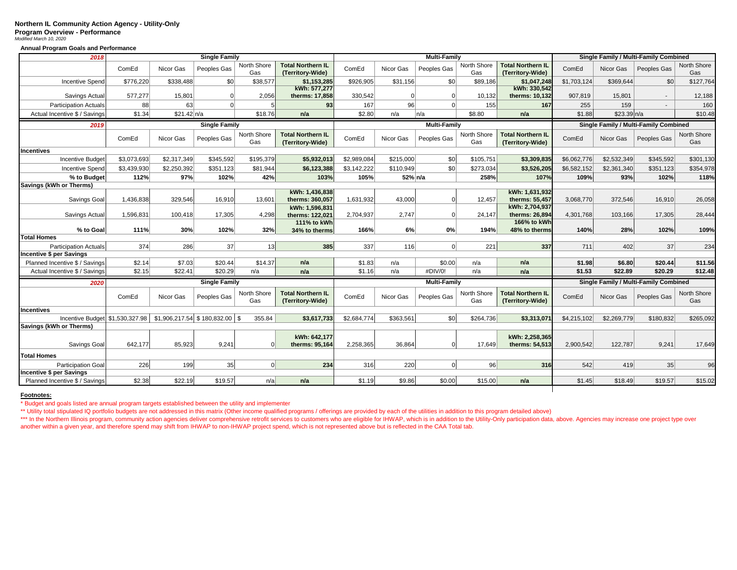## **Northern IL Community Action Agency - Utility-Only Program Overview - Performance** *Modified March 10, 2020*

**Annual Program Goals and Performance**

| 2018                            |             | <b>Single Family</b>           |                      |                    |                                              |             |           | <b>Multi-Family</b> |                    | Single Family / Multi-Family Combined        |                                       |             |                          |                    |
|---------------------------------|-------------|--------------------------------|----------------------|--------------------|----------------------------------------------|-------------|-----------|---------------------|--------------------|----------------------------------------------|---------------------------------------|-------------|--------------------------|--------------------|
|                                 | ComEd       | Nicor Gas                      | Peoples Gas          | North Shore<br>Gas | <b>Total Northern IL</b><br>(Territory-Wide) | ComEd       | Nicor Gas | Peoples Gas         | North Shore<br>Gas | <b>Total Northern IL</b><br>(Territory-Wide) | ComEd                                 | Nicor Gas   | Peoples Gas              | North Shore<br>Gas |
| <b>Incentive Spend</b>          | \$776,220   | \$338,488                      | \$0                  | \$38,577           | \$1,153,285                                  | \$926,905   | \$31,156  | \$0                 | \$89,186           | \$1,047,248                                  | \$1,703,124                           | \$369,644   | \$0                      | \$127,764          |
| Savings Actual                  | 577,277     | 15,801                         | $\Omega$             | 2,056              | kWh: 577,277<br>therms: 17,858               | 330,542     | $\Omega$  | $\Omega$            | 10,132             | kWh: 330.542<br>therms: 10,132               | 907,819                               | 15,801      | $\mathbf{r}$             | 12,188             |
| <b>Participation Actuals</b>    | 88          | 63                             | $\Omega$             |                    | 93                                           | 167         | 96        | $\Omega$            | 155                | 167                                          | 255                                   | 159         | $\overline{\phantom{a}}$ | 160                |
| Actual Incentive \$ / Savings   | \$1.34      | \$21.42 n/a                    |                      | \$18.76            | n/a                                          | \$2.80      | n/a       | n/a                 | \$8.80             | n/a                                          | \$1.88                                | \$23.39 n/a |                          | \$10.48            |
| 2019                            |             | <b>Single Family</b>           |                      |                    |                                              |             |           | <b>Multi-Family</b> |                    |                                              | Single Family / Multi-Family Combined |             |                          |                    |
|                                 | ComEd       | Nicor Gas                      | Peoples Gas          | North Shore<br>Gas | <b>Total Northern IL</b><br>(Territory-Wide) | ComEd       | Nicor Gas | Peoples Gas         | North Shore<br>Gas | <b>Total Northern IL</b><br>(Territory-Wide) | ComEd                                 | Nicor Gas   | Peoples Gas              | North Shore<br>Gas |
| <b>Incentives</b>               |             |                                |                      |                    |                                              |             |           |                     |                    |                                              |                                       |             |                          |                    |
| <b>Incentive Budget</b>         | \$3,073,693 | \$2,317,349                    | \$345,592            | \$195,379          | \$5,932,013                                  | \$2,989,084 | \$215,000 | \$0                 | \$105,751          | \$3,309,835                                  | \$6,062,776                           | \$2,532,349 | \$345,592                | \$301,130          |
| <b>Incentive Spend</b>          | \$3,439,930 | \$2,250,392                    | \$351,123            | \$81,944           | \$6,123,388                                  | \$3,142,222 | \$110,949 | \$0                 | \$273,034          | \$3,526,205                                  | \$6,582,152                           | \$2,361,340 | \$351,123                | \$354,978          |
| % to Budget                     | 112%        | 97%                            | 102%                 | 42%                | 103%                                         | 105%        | 52% n/a   |                     | 258%               | 107%                                         | 109%                                  | 93%         | 102%                     | 118%               |
| Savings (kWh or Therms)         |             |                                |                      |                    |                                              |             |           |                     |                    |                                              |                                       |             |                          |                    |
| Savings Goal                    | 1.436.838   | 329.546                        | 16,910               | 13,601             | kWh: 1,436,838<br>therms: 360.057            | 1.631.932   | 43.000    | $\Omega$            | 12.457             | kWh: 1,631,932<br>therms: 55.457             | 3.068.770                             | 372.546     | 16,910                   | 26,058             |
| Savings Actual                  | 1,596,831   | 100,418                        | 17,305               | 4,298              | kWh: 1,596,831<br>therms: 122.021            | 2,704,937   | 2,747     | $\Omega$            | 24,147             | kWh: 2,704,937<br>therms: 26,894             | 4,301,768                             | 103,166     | 17,305                   | 28,444             |
| % to Goal                       | 111%        | 30%                            | 102%                 | 32%                | 111% to kWh<br>34% to therms                 | 166%        | 6%        | 0%                  | 194%               | 166% to kWh<br>48% to therms                 | 140%                                  | 28%         | 102%                     | 109%               |
| <b>Total Homes</b>              |             |                                |                      |                    |                                              |             |           |                     |                    |                                              |                                       |             |                          |                    |
| Participation Actuals           | 374         | 286                            | 37                   | 13                 | 385                                          | 337         | 116       | $\Omega$            | 221                | 337                                          | 711                                   | 402         | 37                       | 234                |
| <b>Incentive \$ per Savings</b> |             |                                |                      |                    |                                              |             |           |                     |                    |                                              |                                       |             |                          |                    |
| Planned Incentive \$ / Savings  | \$2.14      | \$7.03                         | \$20.44              | \$14.37            | n/a                                          | \$1.83      | n/a       | \$0.00              | n/a                | n/a                                          | \$1.98                                | \$6.80      | \$20.44                  | \$11.56            |
| Actual Incentive \$ / Savings   | \$2.15      | \$22.41                        | \$20.29              | n/a                | n/a                                          | \$1.16      | n/a       | #DIV/0!             | n/a                | n/a                                          | \$1.53                                | \$22.89     | \$20.29                  | \$12.48            |
| 2020                            |             |                                | <b>Single Family</b> |                    |                                              |             |           | <b>Multi-Family</b> |                    | <b>Single Family / Multi-Family Combined</b> |                                       |             |                          |                    |
|                                 | ComEd       | Nicor Gas                      | Peoples Gas          | North Shore<br>Gas | <b>Total Northern IL</b><br>(Territory-Wide) | ComEd       | Nicor Gas | Peoples Gas         | North Shore<br>Gas | <b>Total Northern IL</b><br>(Territory-Wide) | ComEd                                 | Nicor Gas   | Peoples Gas              | North Shore<br>Gas |
| <b>Incentives</b>               |             |                                |                      |                    |                                              |             |           |                     |                    |                                              |                                       |             |                          |                    |
| Incentive Budget \$1,530,327.98 |             | \$1,906,217.54 \$180,832.00 \$ |                      | 355.84             | \$3,617,733                                  | \$2,684,774 | \$363,561 | \$0                 | \$264,736          | \$3,313,071                                  | \$4,215,102                           | \$2,269,779 | \$180,832                | \$265,092          |
| Savings (kWh or Therms)         |             |                                |                      |                    |                                              |             |           |                     |                    |                                              |                                       |             |                          |                    |
| Savings Goal                    | 642.177     | 85.923                         | 9.241                | $\Omega$           | kWh: 642,177<br>therms: 95,164               | 2.258.365   | 36.864    | $\Omega$            | 17,649             | kWh: 2,258,365<br>therms: 54,513             | 2.900.542                             | 122.787     | 9.241                    | 17,649             |
| <b>Total Homes</b>              |             |                                |                      |                    |                                              |             |           |                     |                    |                                              |                                       |             |                          |                    |
| <b>Participation Goal</b>       | 226         | 199                            | 35 <sub>1</sub>      | $\Omega$           | 234                                          | 316         | 220       | <sup>o</sup>        | 96                 | 316                                          | 542                                   | 419         | 35                       | 96                 |
| <b>Incentive \$ per Savings</b> |             |                                |                      |                    |                                              |             |           |                     |                    |                                              |                                       |             |                          |                    |
| Planned Incentive \$ / Savings  | \$2.38      | \$22.19                        | \$19.57              | n/a                | n/a                                          | \$1.19      | \$9.86    | \$0.00              | \$15.00            | n/a                                          | \$1.45                                | \$18.49     | \$19.57                  | \$15.02            |
|                                 |             |                                |                      |                    |                                              |             |           |                     |                    |                                              |                                       |             |                          |                    |

## **Footnotes:**

\* Budget and goals listed are annual program targets established between the utility and implementer

\*\* Utility total stipulated IQ portfolio budgets are not addressed in this matrix (Other income qualified programs / offerings are provided by each of the utilities in addition to this program detailed above)

\*\*\* In the Northern Illinois program, community action agencies deliver comprehensive retrofit services to customers who are eligible for IHWAP, which is in addition to the Utility-Only participation data, above. Agencies another within a given year, and therefore spend may shift from IHWAP to non-IHWAP project spend, which is not represented above but is reflected in the CAA Total tab.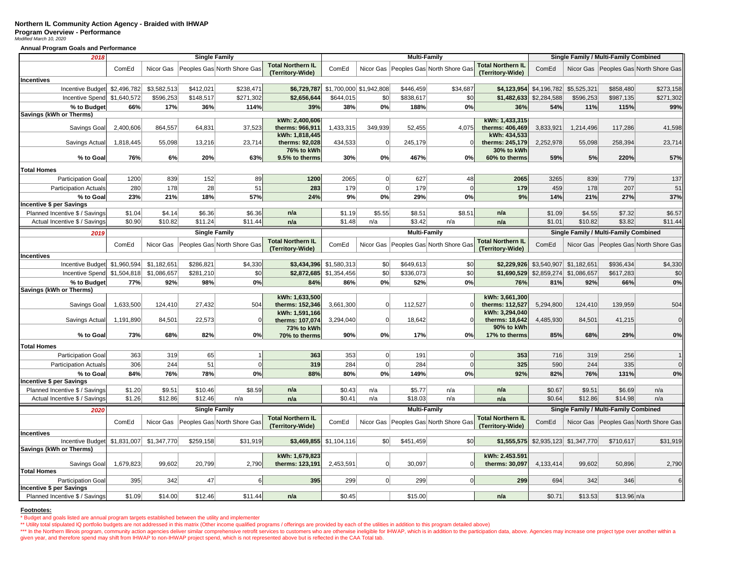## **Northern IL Community Action Agency - Braided with IHWAP Program Overview - Performance** *Modified March 10, 2020*

**Annual Program Goals and Performance**

| 2018                                                   | <b>Single Family</b> |             |                      |                                       |                                              | <b>Multi-Family</b>     |                         |                     |                                         |                                              | Single Family / Multi-Family Combined |                         |                                       |                                           |
|--------------------------------------------------------|----------------------|-------------|----------------------|---------------------------------------|----------------------------------------------|-------------------------|-------------------------|---------------------|-----------------------------------------|----------------------------------------------|---------------------------------------|-------------------------|---------------------------------------|-------------------------------------------|
|                                                        | ComEd                | Nicor Gas   |                      | Peoples Gas North Shore Gas           | <b>Total Northern IL</b><br>(Territory-Wide) | ComEd                   |                         |                     | Nicor Gas   Peoples Gas North Shore Gas | <b>Total Northern IL</b><br>(Territory-Wide) | ComEd                                 |                         |                                       | Nicor Gas Peoples Gas North Shore Gas     |
| <b>Incentives</b>                                      |                      |             |                      |                                       |                                              |                         |                         |                     |                                         |                                              |                                       |                         |                                       |                                           |
| Incentive Budget \$2,496,782                           |                      | \$3,582,513 | \$412,021            | \$238,471                             | \$6,729,787                                  |                         | \$1,700,000 \$1,942,808 | \$446,459           | \$34,687                                | \$4,123,954                                  | \$4,196,782 \$5,525,321               |                         | \$858,480                             | \$273,158                                 |
| Incentive Spend \$1,640,572                            |                      | \$596,253   | \$148,517            | \$271,302                             | \$2,656,644                                  | \$644,015               | \$0                     | \$838,617           | \$0                                     | \$1,482,633                                  | \$2,284,588                           | \$596,253               | \$987,135                             | \$271,302                                 |
| % to Budget                                            | 66%                  | 17%         | 36%                  | 114%                                  | 39%                                          | 38%                     | 0%                      | 188%                | 0%                                      | 36%                                          | 54%                                   | 11%                     | 115%                                  | 99%                                       |
| <b>Savings (kWh or Therms)</b>                         |                      |             |                      |                                       |                                              |                         |                         |                     |                                         |                                              |                                       |                         |                                       |                                           |
|                                                        |                      |             |                      |                                       | kWh: 2,400,606                               |                         |                         |                     |                                         | kWh: 1,433,315                               |                                       |                         |                                       |                                           |
| Savings Goal                                           | 2,400,606            | 864,557     | 64,831               | 37,523                                | therms: 966,911                              | 1,433,315               | 349,939                 | 52,455              | 4,075                                   | therms: 406,469                              | 3,833,921                             | 1,214,496               | 117,286                               | 41,598                                    |
| Savings Actual                                         | 1,818,445            | 55,098      | 13,216               | 23,714                                | kWh: 1,818,445<br>therms: 92,028             | 434,533                 | $\overline{0}$          | 245,179             | $\Omega$                                | kWh: 434,533<br>therms: 245,179              | 2,252,978                             | 55,098                  | 258,394                               | 23,714                                    |
|                                                        |                      |             |                      |                                       | 76% to kWh                                   |                         |                         |                     |                                         | 30% to kWh                                   |                                       |                         |                                       |                                           |
| % to Goal                                              | 76%                  | 6%          | 20%                  | 63%                                   | 9.5% to therms                               | 30%                     | 0%                      | 467%                | 0%                                      | 60% to therms                                | 59%                                   | 5%                      | 220%                                  | 57%                                       |
|                                                        |                      |             |                      |                                       |                                              |                         |                         |                     |                                         |                                              |                                       |                         |                                       |                                           |
| <b>Total Homes</b>                                     |                      |             |                      |                                       |                                              |                         |                         |                     |                                         |                                              |                                       |                         |                                       |                                           |
| <b>Participation Goal</b>                              | 1200                 | 839         | 152                  | 89                                    | 1200                                         | 2065                    | $\Omega$                | 627                 | 48                                      | 2065                                         | 3265                                  | 839                     | 779                                   | 137                                       |
| <b>Participation Actuals</b>                           | 280                  | 178         | 28                   | 51                                    | 283                                          | 179                     | $\Omega$                | 179                 | $\Omega$                                | 179                                          | 459                                   | 178                     | 207                                   | 51                                        |
| % to Goal                                              | 23%                  | 21%         | 18%                  | 57%                                   | 24%                                          | 9%                      | 0%                      | 29%                 | 0%                                      | 9%                                           | 14%                                   | 21%                     | 27%                                   | 37%                                       |
| <b>Incentive \$ per Savings</b>                        |                      |             |                      |                                       |                                              |                         |                         |                     |                                         |                                              |                                       |                         |                                       |                                           |
| Planned Incentive \$ / Savings                         | \$1.04               | \$4.14      | \$6.36               | \$6.36                                | n/a                                          | \$1.19                  | \$5.55                  | \$8.51              | \$8.51                                  | n/a                                          | \$1.09                                | \$4.55                  | \$7.32                                | \$6.57                                    |
| Actual Incentive \$ / Savings                          | \$0.90               | \$10.82     | \$11.24              | \$11.44                               | n/a                                          | \$1.48                  | n/a                     | \$3.42              | n/a                                     | n/a                                          | \$1.01                                | \$10.82                 | \$3.82                                | \$11.44                                   |
| 2019                                                   |                      |             | <b>Single Family</b> |                                       |                                              |                         |                         | <b>Multi-Family</b> |                                         |                                              |                                       |                         | Single Family / Multi-Family Combined |                                           |
|                                                        | ComEd                | Nicor Gas   |                      | Peoples Gas North Shore Gas           | <b>Total Northern IL</b>                     | ComEd                   |                         |                     | Nicor Gas Peoples Gas North Shore Gas   | <b>Total Northern IL</b>                     | ComEd                                 |                         |                                       | Nicor Gas   Peoples Gas   North Shore Gas |
|                                                        |                      |             |                      |                                       | (Territory-Wide)                             |                         |                         |                     |                                         | (Territory-Wide)                             |                                       |                         |                                       |                                           |
| <b>Incentives</b>                                      |                      |             |                      |                                       |                                              |                         |                         |                     |                                         |                                              |                                       |                         |                                       |                                           |
| Incentive Budget \$1,960,594                           |                      | \$1,182,651 | \$286,821            | \$4,330                               |                                              | \$3,434,396 \$1,580,313 | \$0                     | \$649,613           | \$0                                     | \$2,229,926                                  |                                       | \$3,540,907 \$1,182,651 | \$936,434                             | \$4,330                                   |
| Incentive Spend \$1,504,818                            |                      | \$1,086,657 | \$281,210            | \$0                                   | \$2,872,685                                  | \$1,354,456             | \$0                     | \$336,073           | \$0                                     | \$1,690,529                                  | \$2,859,274                           | \$1,086,657             | \$617,283                             | \$0                                       |
| % to Budget                                            | 77%                  | 92%         | 98%                  | 0%                                    | 84%                                          | 86%                     | 0%                      | 52%                 | 0%                                      | 76%                                          | 81%                                   | 92%                     | 66%                                   | 0%                                        |
| Savings (kWh or Therms)                                |                      |             |                      |                                       |                                              |                         |                         |                     |                                         |                                              |                                       |                         |                                       |                                           |
|                                                        |                      |             |                      |                                       | kWh: 1,633,500                               |                         |                         |                     |                                         | kWh: 3,661,300                               |                                       |                         |                                       |                                           |
| Savings Goal                                           | 1,633,500            | 124,410     | 27,432               | 504                                   | therms: 152,346<br>kWh: 1,591,166            | 3,661,300               | $\overline{0}$          | 112,527             |                                         | therms: 112,527<br>kWh: 3,294,040            | 5,294,800                             | 124,410                 | 139,959                               | 504                                       |
| Savings Actual                                         | 1,191,890            | 84,501      | 22,573               | $\Omega$                              | therms: 107,074                              | 3,294,040               | $\Omega$                | 18,642              | $\Omega$                                | therms: 18,642                               | 4,485,930                             | 84,501                  | 41,215                                | $\bf 0$                                   |
|                                                        |                      |             |                      |                                       | 73% to kWh                                   |                         |                         |                     |                                         | 90% to kWh                                   |                                       |                         |                                       |                                           |
| % to Goal                                              | 73%                  | 68%         | 82%                  | 0%                                    | 70% to therms                                | 90%                     | 0%                      | 17%                 | 0%                                      | 17% to therms                                | 85%                                   | 68%                     | 29%                                   | 0%                                        |
| <b>Total Homes</b>                                     |                      |             |                      |                                       |                                              |                         |                         |                     |                                         |                                              |                                       |                         |                                       |                                           |
|                                                        |                      |             |                      |                                       |                                              |                         | $\overline{0}$          |                     | $\Omega$                                |                                              |                                       | 319                     |                                       |                                           |
| Participation Goal                                     | 363                  | 319         | 65                   |                                       | 363                                          | 353                     | $\Omega$                | 191                 | $\Omega$                                | 353                                          | 716                                   |                         | 256                                   |                                           |
| <b>Participation Actuals</b>                           | 306                  | 244         | 51                   | $\Omega$                              | 319                                          | 284                     |                         | 284                 |                                         | 325                                          | 590                                   | 244                     | 335                                   | $\mathbf 0$                               |
| % to Goal                                              | 84%                  | 76%         | 78%                  | 0%                                    | 88%                                          | 80%                     | 0%                      | 149%                | 0%                                      | 92%                                          | 82%                                   | 76%                     | 131%                                  | 0%                                        |
| <b>Incentive \$ per Savings</b>                        |                      |             |                      | \$8.59                                | n/a                                          | \$0.43                  |                         |                     |                                         |                                              |                                       |                         |                                       |                                           |
| Planned Incentive \$ / Savings                         | \$1.20               | \$9.51      | \$10.46              |                                       |                                              |                         | n/a                     | \$5.77              | n/a                                     | n/a                                          | \$0.67                                | \$9.51                  | \$6.69                                | n/a                                       |
| Actual Incentive \$ / Savings                          | \$1.26               | \$12.86     | \$12.46              | n/a                                   | n/a                                          | \$0.41                  | n/a                     | \$18.03             | n/a                                     | n/a                                          | \$0.64                                | \$12.86                 | \$14.98                               | n/a                                       |
| 2020                                                   |                      |             | <b>Single Family</b> |                                       |                                              |                         |                         | <b>Multi-Family</b> |                                         |                                              |                                       |                         | Single Family / Multi-Family Combined |                                           |
|                                                        | ComEd                |             |                      | Nicor Gas Peoples Gas North Shore Gas | <b>Total Northern IL</b>                     | ComEd                   |                         |                     | Nicor Gas Peoples Gas North Shore Gas   | <b>Total Northern IL</b>                     | ComEd                                 |                         |                                       | Nicor Gas Peoples Gas North Shore Gas     |
|                                                        |                      |             |                      |                                       | (Territory-Wide)                             |                         |                         |                     |                                         | (Territory-Wide)                             |                                       |                         |                                       |                                           |
| Incentives<br>Incentive Budget \$1,831,007 \$1,347,770 |                      |             | \$259,158            | \$31,919                              |                                              | \$3,469,855 \$1,104,116 | \$0                     | \$451,459           | \$0                                     | \$1,555,575                                  |                                       | \$2,935,123 \$1,347,770 | \$710,617                             | \$31,919                                  |
| Savings (kWh or Therms)                                |                      |             |                      |                                       |                                              |                         |                         |                     |                                         |                                              |                                       |                         |                                       |                                           |
|                                                        |                      |             |                      |                                       | kWh: 1,679,823                               |                         |                         |                     |                                         | kWh: 2.453.591                               |                                       |                         |                                       |                                           |
| Savings Goal                                           | 1,679,823            | 99,602      | 20,799               | 2,790                                 | therms: 123,191                              | 2,453,591               | $\Omega$                | 30,097              | $\Omega$                                | therms: 30,097                               | 4,133,414                             | 99,602                  | 50,896                                | 2,790                                     |
| <b>Total Homes</b>                                     |                      |             |                      |                                       |                                              |                         |                         |                     |                                         |                                              |                                       |                         |                                       |                                           |
| <b>Participation Goal</b>                              | 395                  | 342         | 47                   | $6\phantom{1}$                        | 395                                          | 299                     | $\overline{0}$          | 299                 | $\Omega$                                | 299                                          | 694                                   | 342                     | 346                                   | 6                                         |
| <b>Incentive \$ per Savings</b>                        |                      |             |                      |                                       |                                              |                         |                         |                     |                                         |                                              |                                       |                         |                                       |                                           |
| Planned Incentive \$ / Savings                         | \$1.09               | \$14.00     | \$12.46              | \$11.44                               | n/a                                          | \$0.45                  |                         | \$15.00             |                                         | n/a                                          | \$0.71                                | \$13.53                 | \$13.96 n/a                           |                                           |

**Footnotes:**

\* Budget and goals listed are annual program targets established between the utility and implementer

\*\* Utility total stipulated IQ portfolio budgets are not addressed in this matrix (Other income qualified programs / offerings are provided by each of the utilities in addition to this program detailed above) Agencies may given year, and therefore spend may shift from IHWAP to non-IHWAP project spend, which is not represented above but is reflected in the CAA Total tab.